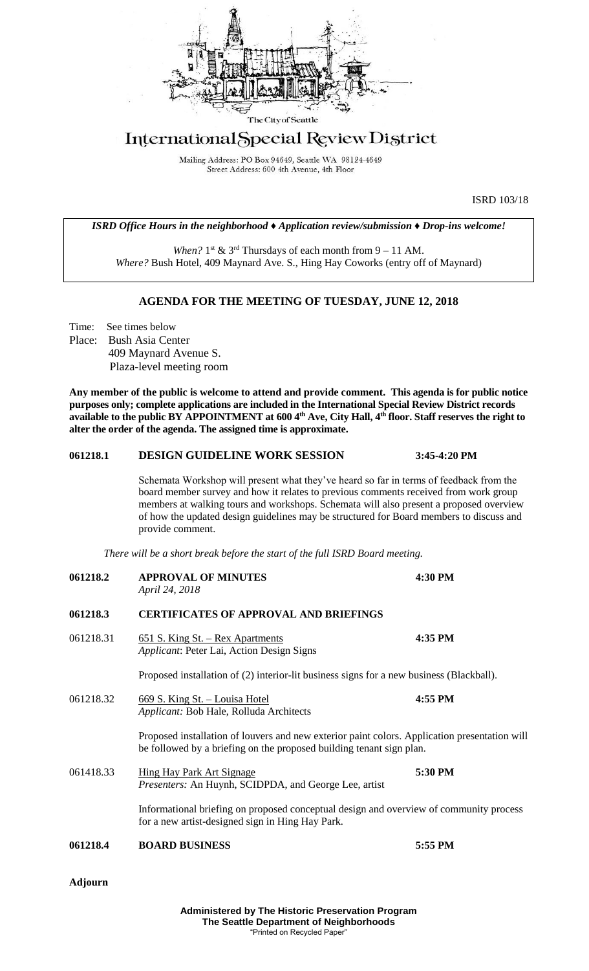

# International Special Review District

Mailing Address: PO Box 94649, Seattle WA 98124-4649 Street Address: 600 4th Avenue, 4th Floor

ISRD 103/18

#### *ISRD Office Hours in the neighborhood ♦ Application review/submission ♦ Drop-ins welcome!*

When?  $1<sup>st</sup>$  &  $3<sup>rd</sup>$  Thursdays of each month from  $9 - 11$  AM. *Where?* Bush Hotel, 409 Maynard Ave. S., Hing Hay Coworks (entry off of Maynard)

# **AGENDA FOR THE MEETING OF TUESDAY, JUNE 12, 2018**

Time: See times below Place: Bush Asia Center 409 Maynard Avenue S. Plaza-level meeting room

**Any member of the public is welcome to attend and provide comment. This agenda is for public notice purposes only; complete applications are included in the International Special Review District records available to the public BY APPOINTMENT at 600 4th Ave, City Hall, 4th floor. Staff reserves the right to alter the order of the agenda. The assigned time is approximate.** 

### **061218.1 DESIGN GUIDELINE WORK SESSION 3:45-4:20 PM**

Schemata Workshop will present what they've heard so far in terms of feedback from the board member survey and how it relates to previous comments received from work group members at walking tours and workshops. Schemata will also present a proposed overview of how the updated design guidelines may be structured for Board members to discuss and provide comment.

*There will be a short break before the start of the full ISRD Board meeting.*

| 061218.2  | <b>APPROVAL OF MINUTES</b><br>April 24, 2018                                                                                                                          | 4:30 PM |
|-----------|-----------------------------------------------------------------------------------------------------------------------------------------------------------------------|---------|
| 061218.3  | <b>CERTIFICATES OF APPROVAL AND BRIEFINGS</b>                                                                                                                         |         |
| 061218.31 | <u>651 S. King St. – Rex Apartments</u><br>Applicant: Peter Lai, Action Design Signs                                                                                  | 4:35 PM |
|           | Proposed installation of (2) interior-lit business signs for a new business (Blackball).                                                                              |         |
| 061218.32 | 669 S. King St. - Louisa Hotel<br>Applicant: Bob Hale, Rolluda Architects                                                                                             | 4:55 PM |
|           | Proposed installation of louvers and new exterior paint colors. Application presentation will<br>be followed by a briefing on the proposed building tenant sign plan. |         |
| 061418.33 | <b>Hing Hay Park Art Signage</b><br>Presenters: An Huynh, SCIDPDA, and George Lee, artist                                                                             | 5:30 PM |
|           | Informational briefing on proposed conceptual design and overview of community process<br>for a new artist-designed sign in Hing Hay Park.                            |         |
| 061218.4  | <b>BOARD BUSINESS</b>                                                                                                                                                 | 5:55 PM |
|           |                                                                                                                                                                       |         |

**Adjourn**